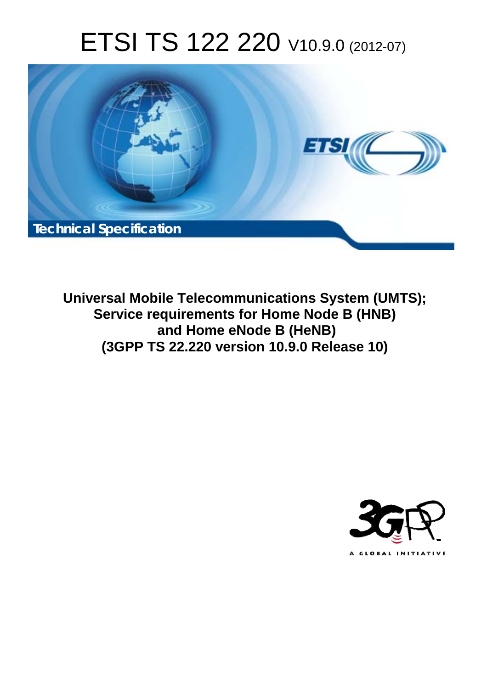# ETSI TS 122 220 V10.9.0 (2012-07)



**Universal Mobile Telecommunications System (UMTS); Service requirements for Home Node B (HNB) and Home eNode B (HeNB) (3GPP TS 22.220 version 10.9.0 Release 10)** 

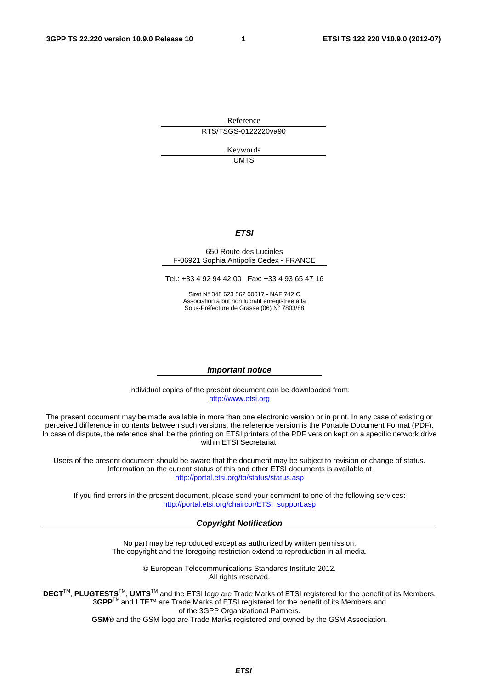Reference RTS/TSGS-0122220va90

> Keywords UMTS

#### *ETSI*

#### 650 Route des Lucioles F-06921 Sophia Antipolis Cedex - FRANCE

Tel.: +33 4 92 94 42 00 Fax: +33 4 93 65 47 16

Siret N° 348 623 562 00017 - NAF 742 C Association à but non lucratif enregistrée à la Sous-Préfecture de Grasse (06) N° 7803/88

#### *Important notice*

Individual copies of the present document can be downloaded from: [http://www.etsi.org](http://www.etsi.org/)

The present document may be made available in more than one electronic version or in print. In any case of existing or perceived difference in contents between such versions, the reference version is the Portable Document Format (PDF). In case of dispute, the reference shall be the printing on ETSI printers of the PDF version kept on a specific network drive within ETSI Secretariat.

Users of the present document should be aware that the document may be subject to revision or change of status. Information on the current status of this and other ETSI documents is available at <http://portal.etsi.org/tb/status/status.asp>

If you find errors in the present document, please send your comment to one of the following services: [http://portal.etsi.org/chaircor/ETSI\\_support.asp](http://portal.etsi.org/chaircor/ETSI_support.asp)

#### *Copyright Notification*

No part may be reproduced except as authorized by written permission. The copyright and the foregoing restriction extend to reproduction in all media.

> © European Telecommunications Standards Institute 2012. All rights reserved.

DECT<sup>™</sup>, PLUGTESTS<sup>™</sup>, UMTS<sup>™</sup> and the ETSI logo are Trade Marks of ETSI registered for the benefit of its Members. **3GPP**TM and **LTE**™ are Trade Marks of ETSI registered for the benefit of its Members and of the 3GPP Organizational Partners.

**GSM**® and the GSM logo are Trade Marks registered and owned by the GSM Association.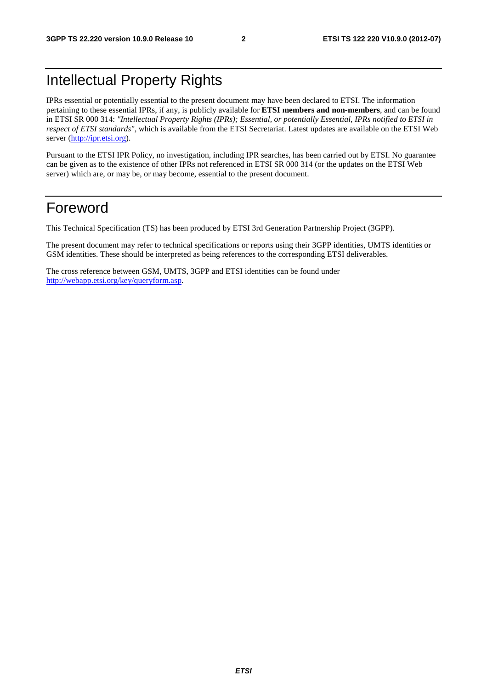# Intellectual Property Rights

IPRs essential or potentially essential to the present document may have been declared to ETSI. The information pertaining to these essential IPRs, if any, is publicly available for **ETSI members and non-members**, and can be found in ETSI SR 000 314: *"Intellectual Property Rights (IPRs); Essential, or potentially Essential, IPRs notified to ETSI in respect of ETSI standards"*, which is available from the ETSI Secretariat. Latest updates are available on the ETSI Web server [\(http://ipr.etsi.org](http://webapp.etsi.org/IPR/home.asp)).

Pursuant to the ETSI IPR Policy, no investigation, including IPR searches, has been carried out by ETSI. No guarantee can be given as to the existence of other IPRs not referenced in ETSI SR 000 314 (or the updates on the ETSI Web server) which are, or may be, or may become, essential to the present document.

### Foreword

This Technical Specification (TS) has been produced by ETSI 3rd Generation Partnership Project (3GPP).

The present document may refer to technical specifications or reports using their 3GPP identities, UMTS identities or GSM identities. These should be interpreted as being references to the corresponding ETSI deliverables.

The cross reference between GSM, UMTS, 3GPP and ETSI identities can be found under [http://webapp.etsi.org/key/queryform.asp.](http://webapp.etsi.org/key/queryform.asp)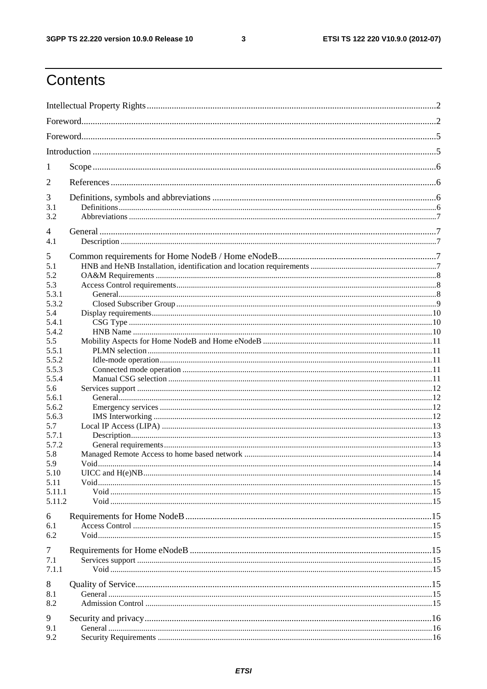$\mathbf{3}$ 

# Contents

| 1              |  |  |  |  |  |  |  |  |  |
|----------------|--|--|--|--|--|--|--|--|--|
| 2              |  |  |  |  |  |  |  |  |  |
| 3              |  |  |  |  |  |  |  |  |  |
| 3.1            |  |  |  |  |  |  |  |  |  |
| 3.2            |  |  |  |  |  |  |  |  |  |
| $\overline{4}$ |  |  |  |  |  |  |  |  |  |
| 4.1            |  |  |  |  |  |  |  |  |  |
| 5              |  |  |  |  |  |  |  |  |  |
| 5.1            |  |  |  |  |  |  |  |  |  |
| 5.2            |  |  |  |  |  |  |  |  |  |
| 5.3            |  |  |  |  |  |  |  |  |  |
| 5.3.1          |  |  |  |  |  |  |  |  |  |
| 5.3.2<br>5.4   |  |  |  |  |  |  |  |  |  |
| 5.4.1          |  |  |  |  |  |  |  |  |  |
| 5.4.2          |  |  |  |  |  |  |  |  |  |
| 5.5            |  |  |  |  |  |  |  |  |  |
| 5.5.1          |  |  |  |  |  |  |  |  |  |
| 5.5.2          |  |  |  |  |  |  |  |  |  |
| 5.5.3          |  |  |  |  |  |  |  |  |  |
| 5.5.4          |  |  |  |  |  |  |  |  |  |
| 5.6            |  |  |  |  |  |  |  |  |  |
| 5.6.1          |  |  |  |  |  |  |  |  |  |
| 5.6.2<br>5.6.3 |  |  |  |  |  |  |  |  |  |
| 5.7            |  |  |  |  |  |  |  |  |  |
| 5.7.1          |  |  |  |  |  |  |  |  |  |
| 5.7.2          |  |  |  |  |  |  |  |  |  |
| 5.8            |  |  |  |  |  |  |  |  |  |
| 5.9            |  |  |  |  |  |  |  |  |  |
| 5.10           |  |  |  |  |  |  |  |  |  |
| 5.11           |  |  |  |  |  |  |  |  |  |
| 5.11.1         |  |  |  |  |  |  |  |  |  |
| 5.11.2         |  |  |  |  |  |  |  |  |  |
| 6              |  |  |  |  |  |  |  |  |  |
| 6.1            |  |  |  |  |  |  |  |  |  |
| 6.2            |  |  |  |  |  |  |  |  |  |
| 7              |  |  |  |  |  |  |  |  |  |
| 7.1            |  |  |  |  |  |  |  |  |  |
| 7.1.1          |  |  |  |  |  |  |  |  |  |
| 8              |  |  |  |  |  |  |  |  |  |
| 8.1            |  |  |  |  |  |  |  |  |  |
| 8.2            |  |  |  |  |  |  |  |  |  |
|                |  |  |  |  |  |  |  |  |  |
| 9              |  |  |  |  |  |  |  |  |  |
| 9.1            |  |  |  |  |  |  |  |  |  |
| 9.2            |  |  |  |  |  |  |  |  |  |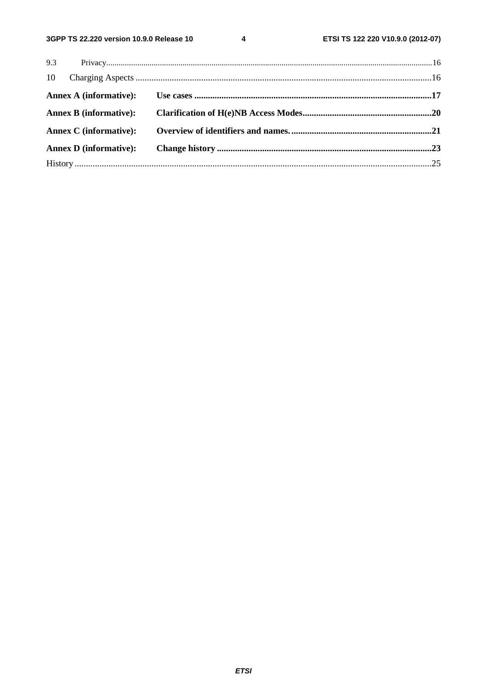$\overline{\mathbf{4}}$ 

| <b>Annex D</b> (informative): |  |
|-------------------------------|--|
|                               |  |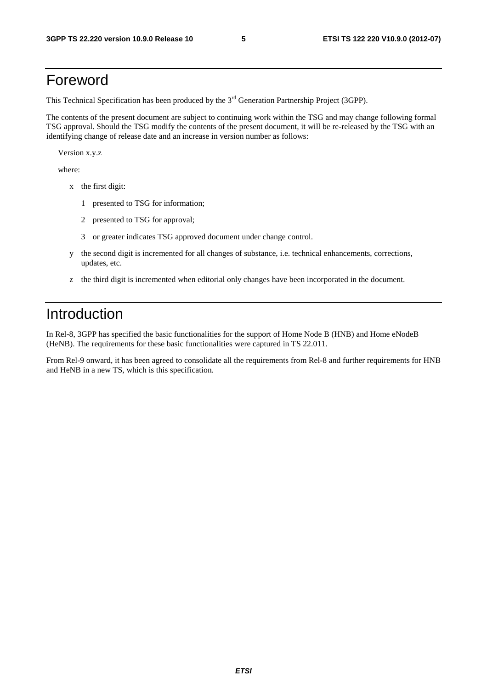### Foreword

This Technical Specification has been produced by the 3<sup>rd</sup> Generation Partnership Project (3GPP).

The contents of the present document are subject to continuing work within the TSG and may change following formal TSG approval. Should the TSG modify the contents of the present document, it will be re-released by the TSG with an identifying change of release date and an increase in version number as follows:

Version x.y.z

where:

- x the first digit:
	- 1 presented to TSG for information;
	- 2 presented to TSG for approval;
	- 3 or greater indicates TSG approved document under change control.
- y the second digit is incremented for all changes of substance, i.e. technical enhancements, corrections, updates, etc.
- z the third digit is incremented when editorial only changes have been incorporated in the document.

### Introduction

In Rel-8, 3GPP has specified the basic functionalities for the support of Home Node B (HNB) and Home eNodeB (HeNB). The requirements for these basic functionalities were captured in TS 22.011.

From Rel-9 onward, it has been agreed to consolidate all the requirements from Rel-8 and further requirements for HNB and HeNB in a new TS, which is this specification.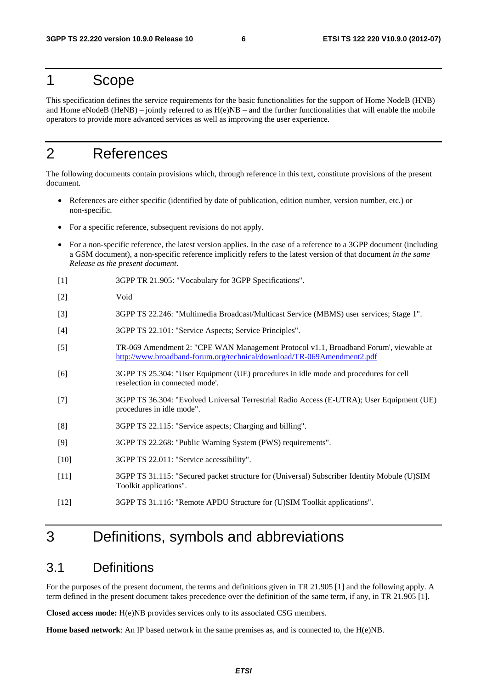### 1 Scope

This specification defines the service requirements for the basic functionalities for the support of Home NodeB (HNB) and Home eNodeB (HeNB) – jointly referred to as  $H(e)NB$  – and the further functionalities that will enable the mobile operators to provide more advanced services as well as improving the user experience.

# 2 References

The following documents contain provisions which, through reference in this text, constitute provisions of the present document.

- References are either specific (identified by date of publication, edition number, version number, etc.) or non-specific.
- For a specific reference, subsequent revisions do not apply.
- For a non-specific reference, the latest version applies. In the case of a reference to a 3GPP document (including a GSM document), a non-specific reference implicitly refers to the latest version of that document *in the same Release as the present document*.
- [1] 3GPP TR 21.905: "Vocabulary for 3GPP Specifications".
- [2] Void
- [3] 3GPP TS 22.246: "Multimedia Broadcast/Multicast Service (MBMS) user services; Stage 1".
- [4] 3GPP TS 22.101: "Service Aspects; Service Principles".
- [5] TR-069 Amendment 2: "CPE WAN Management Protocol v1.1, Broadband Forum', viewable at <http://www.broadband-forum.org/technical/download/TR-069Amendment2.pdf>
- [6] 3GPP TS 25.304: "User Equipment (UE) procedures in idle mode and procedures for cell reselection in connected mode'.
- [7] 3GPP TS 36.304: "Evolved Universal Terrestrial Radio Access (E-UTRA); User Equipment (UE) procedures in idle mode".
- [8] 3GPP TS 22.115: "Service aspects; Charging and billing".
- [9] 3GPP TS 22.268: "Public Warning System (PWS) requirements".
- [10] 3GPP TS 22.011: "Service accessibility".
- [11] 3GPP TS 31.115: "Secured packet structure for (Universal) Subscriber Identity Mobule (U)SIM Toolkit applications".
- [12] 3GPP TS 31.116: "Remote APDU Structure for (U)SIM Toolkit applications".

### 3 Definitions, symbols and abbreviations

#### 3.1 Definitions

For the purposes of the present document, the terms and definitions given in TR 21.905 [1] and the following apply. A term defined in the present document takes precedence over the definition of the same term, if any, in TR 21.905 [1].

**Closed access mode:** H(e)NB provides services only to its associated CSG members.

**Home based network**: An IP based network in the same premises as, and is connected to, the H(e)NB.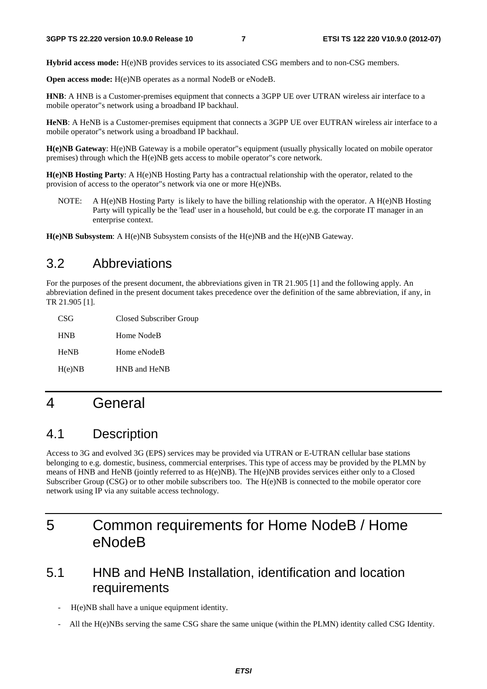**Hybrid access mode:** H(e)NB provides services to its associated CSG members and to non-CSG members.

**Open access mode:** H(e)NB operates as a normal NodeB or eNodeB.

**HNB**: A HNB is a Customer-premises equipment that connects a 3GPP UE over UTRAN wireless air interface to a mobile operator"s network using a broadband IP backhaul.

**HeNB**: A HeNB is a Customer-premises equipment that connects a 3GPP UE over EUTRAN wireless air interface to a mobile operator"s network using a broadband IP backhaul.

**H(e)NB Gateway**: H(e)NB Gateway is a mobile operator"s equipment (usually physically located on mobile operator premises) through which the H(e)NB gets access to mobile operator"s core network.

**H(e)NB Hosting Party**: A H(e)NB Hosting Party has a contractual relationship with the operator, related to the provision of access to the operator"s network via one or more H(e)NBs.

NOTE: A H(e)NB Hosting Party is likely to have the billing relationship with the operator. A H(e)NB Hosting Party will typically be the 'lead' user in a household, but could be e.g. the corporate IT manager in an enterprise context.

**H(e)NB Subsystem**: A H(e)NB Subsystem consists of the H(e)NB and the H(e)NB Gateway.

### 3.2 Abbreviations

For the purposes of the present document, the abbreviations given in TR 21.905 [1] and the following apply. An abbreviation defined in the present document takes precedence over the definition of the same abbreviation, if any, in TR 21.905 [1].

| CSG         | Closed Subscriber Group |
|-------------|-------------------------|
| <b>HNB</b>  | Home NodeB              |
| <b>HeNB</b> | Home eNodeB             |
| H(e)NB      | HNB and HeNB            |

# 4 General

### 4.1 Description

Access to 3G and evolved 3G (EPS) services may be provided via UTRAN or E-UTRAN cellular base stations belonging to e.g. domestic, business, commercial enterprises. This type of access may be provided by the PLMN by means of HNB and HeNB (jointly referred to as H(e)NB). The H(e)NB provides services either only to a Closed Subscriber Group (CSG) or to other mobile subscribers too. The H(e)NB is connected to the mobile operator core network using IP via any suitable access technology.

# 5 Common requirements for Home NodeB / Home eNodeB

### 5.1 HNB and HeNB Installation, identification and location requirements

- H(e)NB shall have a unique equipment identity.
- All the H(e)NBs serving the same CSG share the same unique (within the PLMN) identity called CSG Identity.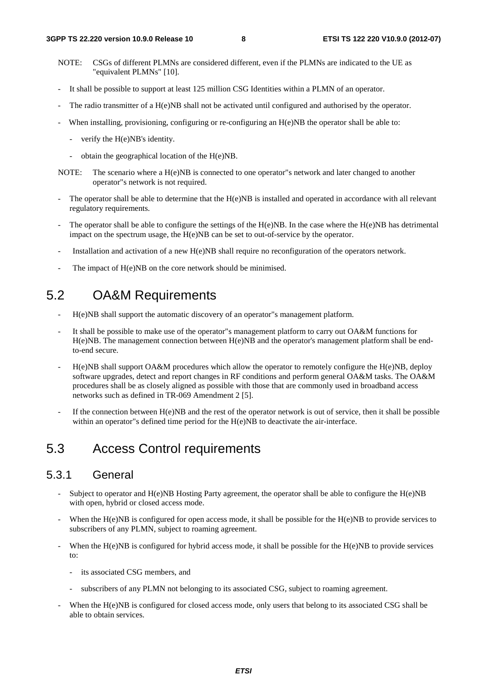- NOTE: CSGs of different PLMNs are considered different, even if the PLMNs are indicated to the UE as "equivalent PLMNs" [10].
- It shall be possible to support at least 125 million CSG Identities within a PLMN of an operator.
- The radio transmitter of a H(e)NB shall not be activated until configured and authorised by the operator.
- When installing, provisioning, configuring or re-configuring an  $H(e)NB$  the operator shall be able to:
	- verify the H(e)NB's identity.
	- obtain the geographical location of the H(e)NB.
- NOTE: The scenario where a H(e)NB is connected to one operator"s network and later changed to another operator"s network is not required.
- The operator shall be able to determine that the  $H(e)NB$  is installed and operated in accordance with all relevant regulatory requirements.
- The operator shall be able to configure the settings of the  $H(e)NB$ . In the case where the  $H(e)NB$  has detrimental impact on the spectrum usage, the H(e)NB can be set to out-of-service by the operator.
- Installation and activation of a new H(e)NB shall require no reconfiguration of the operators network.
- The impact of H(e)NB on the core network should be minimised.

### 5.2 OA&M Requirements

- H(e)NB shall support the automatic discovery of an operator"s management platform.
- It shall be possible to make use of the operator"s management platform to carry out OA&M functions for H(e)NB. The management connection between H(e)NB and the operator's management platform shall be endto-end secure.
- H(e)NB shall support OA&M procedures which allow the operator to remotely configure the H(e)NB, deploy software upgrades, detect and report changes in RF conditions and perform general OA&M tasks. The OA&M procedures shall be as closely aligned as possible with those that are commonly used in broadband access networks such as defined in TR-069 Amendment 2 [5].
- If the connection between  $H(e)NB$  and the rest of the operator network is out of service, then it shall be possible within an operator"s defined time period for the H(e)NB to deactivate the air-interface.

### 5.3 Access Control requirements

#### 5.3.1 General

- Subject to operator and  $H(e)NB$  Hosting Party agreement, the operator shall be able to configure the  $H(e)NB$ with open, hybrid or closed access mode.
- When the  $H(e)NB$  is configured for open access mode, it shall be possible for the  $H(e)NB$  to provide services to subscribers of any PLMN, subject to roaming agreement.
- When the  $H(e)NB$  is configured for hybrid access mode, it shall be possible for the  $H(e)NB$  to provide services to:
	- its associated CSG members, and
	- subscribers of any PLMN not belonging to its associated CSG, subject to roaming agreement.
- When the H(e)NB is configured for closed access mode, only users that belong to its associated CSG shall be able to obtain services.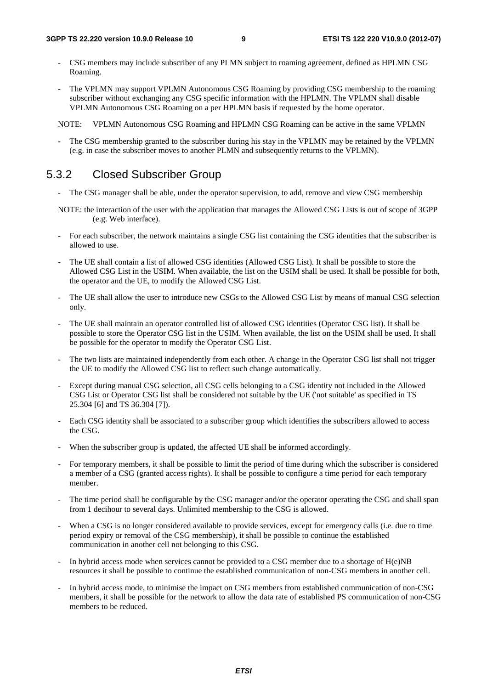- CSG members may include subscriber of any PLMN subject to roaming agreement, defined as HPLMN CSG Roaming.
- The VPLMN may support VPLMN Autonomous CSG Roaming by providing CSG membership to the roaming subscriber without exchanging any CSG specific information with the HPLMN. The VPLMN shall disable VPLMN Autonomous CSG Roaming on a per HPLMN basis if requested by the home operator.

NOTE: VPLMN Autonomous CSG Roaming and HPLMN CSG Roaming can be active in the same VPLMN

The CSG membership granted to the subscriber during his stay in the VPLMN may be retained by the VPLMN (e.g. in case the subscriber moves to another PLMN and subsequently returns to the VPLMN).

#### 5.3.2 Closed Subscriber Group

- The CSG manager shall be able, under the operator supervision, to add, remove and view CSG membership
- NOTE: the interaction of the user with the application that manages the Allowed CSG Lists is out of scope of 3GPP (e.g. Web interface).
- For each subscriber, the network maintains a single CSG list containing the CSG identities that the subscriber is allowed to use.
- The UE shall contain a list of allowed CSG identities (Allowed CSG List). It shall be possible to store the Allowed CSG List in the USIM. When available, the list on the USIM shall be used. It shall be possible for both, the operator and the UE, to modify the Allowed CSG List.
- The UE shall allow the user to introduce new CSGs to the Allowed CSG List by means of manual CSG selection only.
- The UE shall maintain an operator controlled list of allowed CSG identities (Operator CSG list). It shall be possible to store the Operator CSG list in the USIM. When available, the list on the USIM shall be used. It shall be possible for the operator to modify the Operator CSG List.
- The two lists are maintained independently from each other. A change in the Operator CSG list shall not trigger the UE to modify the Allowed CSG list to reflect such change automatically.
- Except during manual CSG selection, all CSG cells belonging to a CSG identity not included in the Allowed CSG List or Operator CSG list shall be considered not suitable by the UE ('not suitable' as specified in TS 25.304 [6] and TS 36.304 [7]).
- Each CSG identity shall be associated to a subscriber group which identifies the subscribers allowed to access the CSG.
- When the subscriber group is updated, the affected UE shall be informed accordingly.
- For temporary members, it shall be possible to limit the period of time during which the subscriber is considered a member of a CSG (granted access rights). It shall be possible to configure a time period for each temporary member.
- The time period shall be configurable by the CSG manager and/or the operator operating the CSG and shall span from 1 decihour to several days. Unlimited membership to the CSG is allowed.
- When a CSG is no longer considered available to provide services, except for emergency calls (i.e. due to time period expiry or removal of the CSG membership), it shall be possible to continue the established communication in another cell not belonging to this CSG.
- In hybrid access mode when services cannot be provided to a CSG member due to a shortage of  $H(e)NB$ resources it shall be possible to continue the established communication of non-CSG members in another cell.
- In hybrid access mode, to minimise the impact on CSG members from established communication of non-CSG members, it shall be possible for the network to allow the data rate of established PS communication of non-CSG members to be reduced.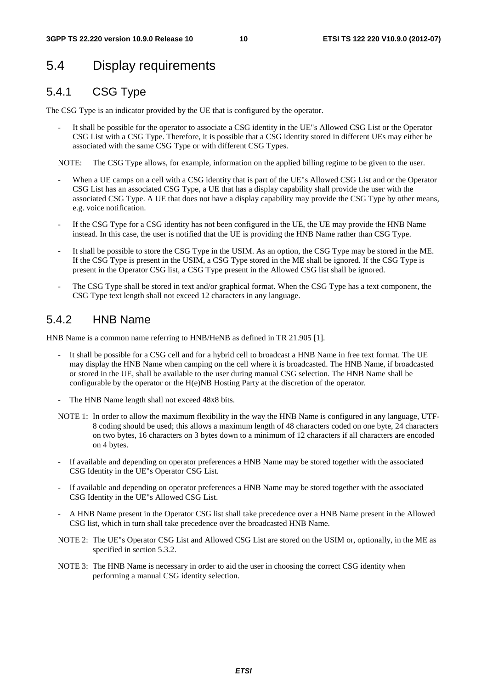# 5.4 Display requirements

### 5.4.1 CSG Type

The CSG Type is an indicator provided by the UE that is configured by the operator.

It shall be possible for the operator to associate a CSG identity in the UE"s Allowed CSG List or the Operator CSG List with a CSG Type. Therefore, it is possible that a CSG identity stored in different UEs may either be associated with the same CSG Type or with different CSG Types.

NOTE: The CSG Type allows, for example, information on the applied billing regime to be given to the user.

- When a UE camps on a cell with a CSG identity that is part of the UE"s Allowed CSG List and or the Operator CSG List has an associated CSG Type, a UE that has a display capability shall provide the user with the associated CSG Type. A UE that does not have a display capability may provide the CSG Type by other means, e.g. voice notification.
- If the CSG Type for a CSG identity has not been configured in the UE, the UE may provide the HNB Name instead. In this case, the user is notified that the UE is providing the HNB Name rather than CSG Type.
- It shall be possible to store the CSG Type in the USIM. As an option, the CSG Type may be stored in the ME. If the CSG Type is present in the USIM, a CSG Type stored in the ME shall be ignored. If the CSG Type is present in the Operator CSG list, a CSG Type present in the Allowed CSG list shall be ignored.
- The CSG Type shall be stored in text and/or graphical format. When the CSG Type has a text component, the CSG Type text length shall not exceed 12 characters in any language.

#### 5.4.2 HNB Name

HNB Name is a common name referring to HNB/HeNB as defined in TR 21.905 [1].

- It shall be possible for a CSG cell and for a hybrid cell to broadcast a HNB Name in free text format. The UE may display the HNB Name when camping on the cell where it is broadcasted. The HNB Name, if broadcasted or stored in the UE, shall be available to the user during manual CSG selection. The HNB Name shall be configurable by the operator or the H(e)NB Hosting Party at the discretion of the operator.
- The HNB Name length shall not exceed 48x8 bits.
- NOTE 1: In order to allow the maximum flexibility in the way the HNB Name is configured in any language, UTF-8 coding should be used; this allows a maximum length of 48 characters coded on one byte, 24 characters on two bytes, 16 characters on 3 bytes down to a minimum of 12 characters if all characters are encoded on 4 bytes.
- If available and depending on operator preferences a HNB Name may be stored together with the associated CSG Identity in the UE"s Operator CSG List.
- If available and depending on operator preferences a HNB Name may be stored together with the associated CSG Identity in the UE"s Allowed CSG List.
- A HNB Name present in the Operator CSG list shall take precedence over a HNB Name present in the Allowed CSG list, which in turn shall take precedence over the broadcasted HNB Name.
- NOTE 2: The UE"s Operator CSG List and Allowed CSG List are stored on the USIM or, optionally, in the ME as specified in section 5.3.2.
- NOTE 3: The HNB Name is necessary in order to aid the user in choosing the correct CSG identity when performing a manual CSG identity selection.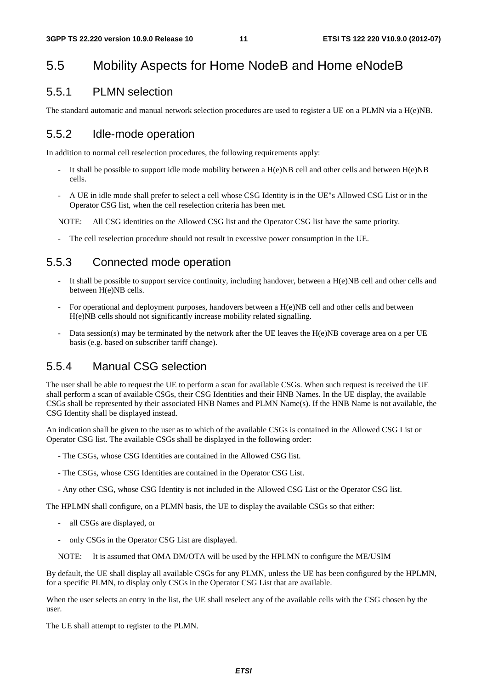### 5.5 Mobility Aspects for Home NodeB and Home eNodeB

#### 5.5.1 PLMN selection

The standard automatic and manual network selection procedures are used to register a UE on a PLMN via a H(e)NB.

#### 5.5.2 Idle-mode operation

In addition to normal cell reselection procedures, the following requirements apply:

- It shall be possible to support idle mode mobility between a  $H(e)NB$  cell and other cells and between  $H(e)NB$ cells.
- A UE in idle mode shall prefer to select a cell whose CSG Identity is in the UE"s Allowed CSG List or in the Operator CSG list, when the cell reselection criteria has been met.

NOTE: All CSG identities on the Allowed CSG list and the Operator CSG list have the same priority.

The cell reselection procedure should not result in excessive power consumption in the UE.

#### 5.5.3 Connected mode operation

- It shall be possible to support service continuity, including handover, between a  $H(e)NB$  cell and other cells and between H(e)NB cells.
- For operational and deployment purposes, handovers between a H(e)NB cell and other cells and between H(e)NB cells should not significantly increase mobility related signalling.
- Data session(s) may be terminated by the network after the UE leaves the H(e)NB coverage area on a per UE basis (e.g. based on subscriber tariff change).

#### 5.5.4 Manual CSG selection

The user shall be able to request the UE to perform a scan for available CSGs. When such request is received the UE shall perform a scan of available CSGs, their CSG Identities and their HNB Names. In the UE display, the available CSGs shall be represented by their associated HNB Names and PLMN Name(s). If the HNB Name is not available, the CSG Identity shall be displayed instead.

An indication shall be given to the user as to which of the available CSGs is contained in the Allowed CSG List or Operator CSG list. The available CSGs shall be displayed in the following order:

- The CSGs, whose CSG Identities are contained in the Allowed CSG list.
- The CSGs, whose CSG Identities are contained in the Operator CSG List.
- Any other CSG, whose CSG Identity is not included in the Allowed CSG List or the Operator CSG list.

The HPLMN shall configure, on a PLMN basis, the UE to display the available CSGs so that either:

- all CSGs are displayed, or
- only CSGs in the Operator CSG List are displayed.
- NOTE: It is assumed that OMA DM/OTA will be used by the HPLMN to configure the ME/USIM

By default, the UE shall display all available CSGs for any PLMN, unless the UE has been configured by the HPLMN, for a specific PLMN, to display only CSGs in the Operator CSG List that are available.

When the user selects an entry in the list, the UE shall reselect any of the available cells with the CSG chosen by the user.

The UE shall attempt to register to the PLMN.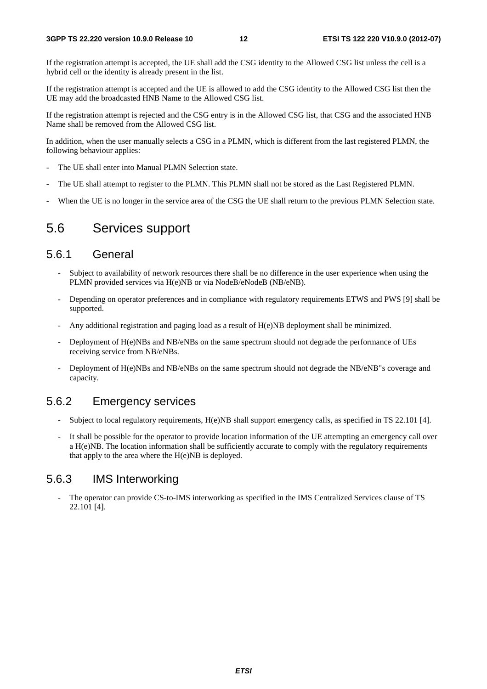If the registration attempt is accepted, the UE shall add the CSG identity to the Allowed CSG list unless the cell is a hybrid cell or the identity is already present in the list.

If the registration attempt is accepted and the UE is allowed to add the CSG identity to the Allowed CSG list then the UE may add the broadcasted HNB Name to the Allowed CSG list.

If the registration attempt is rejected and the CSG entry is in the Allowed CSG list, that CSG and the associated HNB Name shall be removed from the Allowed CSG list.

In addition, when the user manually selects a CSG in a PLMN, which is different from the last registered PLMN, the following behaviour applies:

- The UE shall enter into Manual PLMN Selection state.
- The UE shall attempt to register to the PLMN. This PLMN shall not be stored as the Last Registered PLMN.
- When the UE is no longer in the service area of the CSG the UE shall return to the previous PLMN Selection state.

#### 5.6 Services support

#### 5.6.1 General

- Subject to availability of network resources there shall be no difference in the user experience when using the PLMN provided services via H(e)NB or via NodeB/eNodeB (NB/eNB).
- Depending on operator preferences and in compliance with regulatory requirements ETWS and PWS [9] shall be supported.
- Any additional registration and paging load as a result of H(e)NB deployment shall be minimized.
- Deployment of H(e)NBs and NB/eNBs on the same spectrum should not degrade the performance of UEs receiving service from NB/eNBs.
- Deployment of H(e)NBs and NB/eNBs on the same spectrum should not degrade the NB/eNB"s coverage and capacity.

#### 5.6.2 Emergency services

- Subject to local regulatory requirements, H(e)NB shall support emergency calls, as specified in TS 22.101 [4].
- It shall be possible for the operator to provide location information of the UE attempting an emergency call over a H(e)NB. The location information shall be sufficiently accurate to comply with the regulatory requirements that apply to the area where the  $H(e)NB$  is deployed.

#### 5.6.3 IMS Interworking

The operator can provide CS-to-IMS interworking as specified in the IMS Centralized Services clause of TS 22.101 [4].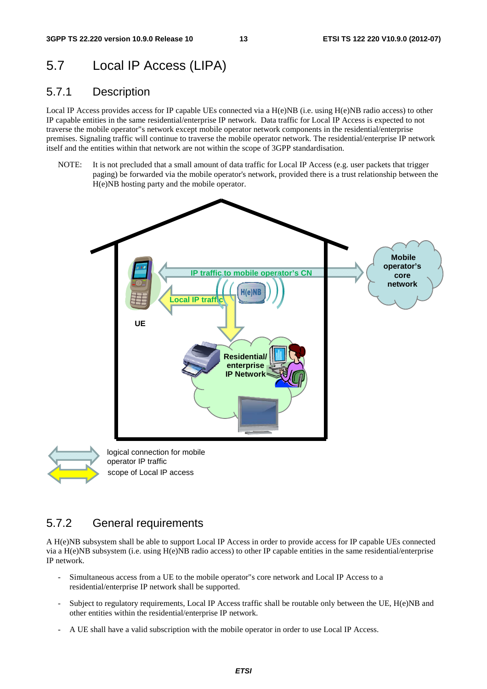### 5.7 Local IP Access (LIPA)

#### 5.7.1 Description

Local IP Access provides access for IP capable UEs connected via a H(e)NB (i.e. using H(e)NB radio access) to other IP capable entities in the same residential/enterprise IP network. Data traffic for Local IP Access is expected to not traverse the mobile operator"s network except mobile operator network components in the residential/enterprise premises. Signaling traffic will continue to traverse the mobile operator network. The residential/enterprise IP network itself and the entities within that network are not within the scope of 3GPP standardisation.

NOTE: It is not precluded that a small amount of data traffic for Local IP Access (e.g. user packets that trigger paging) be forwarded via the mobile operator's network, provided there is a trust relationship between the H(e)NB hosting party and the mobile operator.





scope of Local IP access

#### 5.7.2 General requirements

A H(e)NB subsystem shall be able to support Local IP Access in order to provide access for IP capable UEs connected via a H(e)NB subsystem (i.e. using H(e)NB radio access) to other IP capable entities in the same residential/enterprise IP network.

- Simultaneous access from a UE to the mobile operator"s core network and Local IP Access to a residential/enterprise IP network shall be supported.
- Subject to regulatory requirements, Local IP Access traffic shall be routable only between the UE, H(e)NB and other entities within the residential/enterprise IP network.
- A UE shall have a valid subscription with the mobile operator in order to use Local IP Access.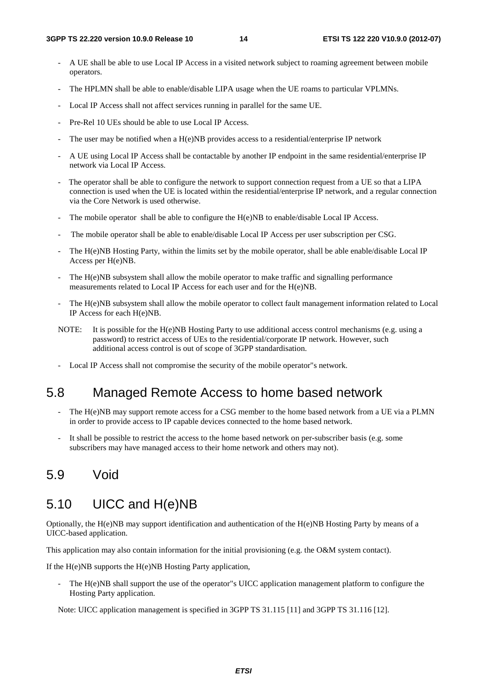- A UE shall be able to use Local IP Access in a visited network subject to roaming agreement between mobile operators.
- The HPLMN shall be able to enable/disable LIPA usage when the UE roams to particular VPLMNs.
- Local IP Access shall not affect services running in parallel for the same UE.
- Pre-Rel 10 UEs should be able to use Local IP Access.
- The user may be notified when a  $H(e)NB$  provides access to a residential/enterprise IP network
- A UE using Local IP Access shall be contactable by another IP endpoint in the same residential/enterprise IP network via Local IP Access.
- The operator shall be able to configure the network to support connection request from a UE so that a LIPA connection is used when the UE is located within the residential/enterprise IP network, and a regular connection via the Core Network is used otherwise.
- The mobile operator shall be able to configure the  $H(e)NB$  to enable/disable Local IP Access.
- The mobile operator shall be able to enable/disable Local IP Access per user subscription per CSG.
- The H(e)NB Hosting Party, within the limits set by the mobile operator, shall be able enable/disable Local IP Access per H(e)NB.
- The H(e)NB subsystem shall allow the mobile operator to make traffic and signalling performance measurements related to Local IP Access for each user and for the H(e)NB.
- The H(e)NB subsystem shall allow the mobile operator to collect fault management information related to Local IP Access for each H(e)NB.
- NOTE: It is possible for the H(e)NB Hosting Party to use additional access control mechanisms (e.g. using a password) to restrict access of UEs to the residential/corporate IP network. However, such additional access control is out of scope of 3GPP standardisation.
- Local IP Access shall not compromise the security of the mobile operator"s network.

### 5.8 Managed Remote Access to home based network

- The H(e)NB may support remote access for a CSG member to the home based network from a UE via a PLMN in order to provide access to IP capable devices connected to the home based network.
- It shall be possible to restrict the access to the home based network on per-subscriber basis (e.g. some subscribers may have managed access to their home network and others may not).

### 5.9 Void

#### 5.10 UICC and H(e)NB

Optionally, the H(e)NB may support identification and authentication of the H(e)NB Hosting Party by means of a UICC-based application.

This application may also contain information for the initial provisioning (e.g. the O&M system contact).

If the H(e)NB supports the H(e)NB Hosting Party application,

The H(e)NB shall support the use of the operator"s UICC application management platform to configure the Hosting Party application.

Note: UICC application management is specified in 3GPP TS 31.115 [11] and 3GPP TS 31.116 [12].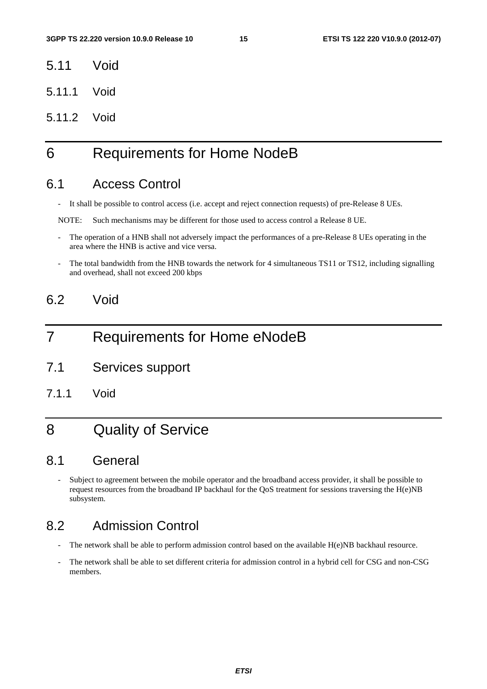- 5.11 Void
- 5.11.1 Void
- 5.11.2 Void

# 6 Requirements for Home NodeB

### 6.1 Access Control

- It shall be possible to control access (i.e. accept and reject connection requests) of pre-Release 8 UEs.

NOTE: Such mechanisms may be different for those used to access control a Release 8 UE.

- The operation of a HNB shall not adversely impact the performances of a pre-Release 8 UEs operating in the area where the HNB is active and vice versa.
- The total bandwidth from the HNB towards the network for 4 simultaneous TS11 or TS12, including signalling and overhead, shall not exceed 200 kbps

### 6.2 Void

### 7 Requirements for Home eNodeB

- 7.1 Services support
- 7.1.1 Void

# 8 Quality of Service

### 8.1 General

- Subject to agreement between the mobile operator and the broadband access provider, it shall be possible to request resources from the broadband IP backhaul for the QoS treatment for sessions traversing the H(e)NB subsystem.

### 8.2 Admission Control

- The network shall be able to perform admission control based on the available H(e)NB backhaul resource.
- The network shall be able to set different criteria for admission control in a hybrid cell for CSG and non-CSG members.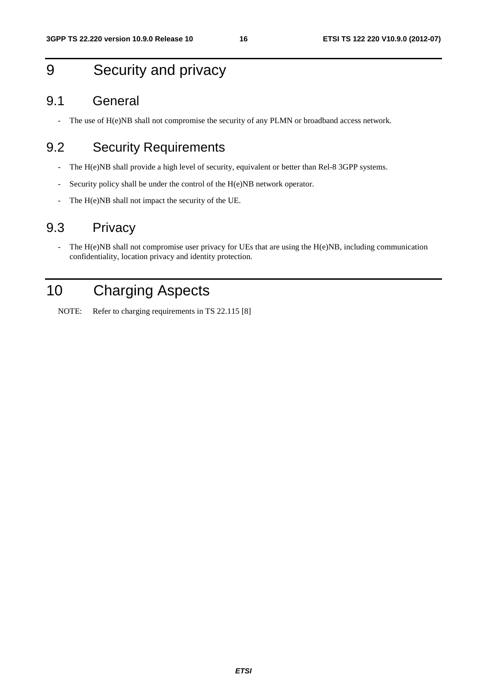# 9 Security and privacy

#### 9.1 General

- The use of H(e)NB shall not compromise the security of any PLMN or broadband access network.

### 9.2 Security Requirements

- The H(e)NB shall provide a high level of security, equivalent or better than Rel-8 3GPP systems.
- Security policy shall be under the control of the H(e)NB network operator.
- The H(e)NB shall not impact the security of the UE.

### 9.3 Privacy

- The H(e)NB shall not compromise user privacy for UEs that are using the H(e)NB, including communication confidentiality, location privacy and identity protection.

# 10 Charging Aspects

NOTE: Refer to charging requirements in TS 22.115 [8]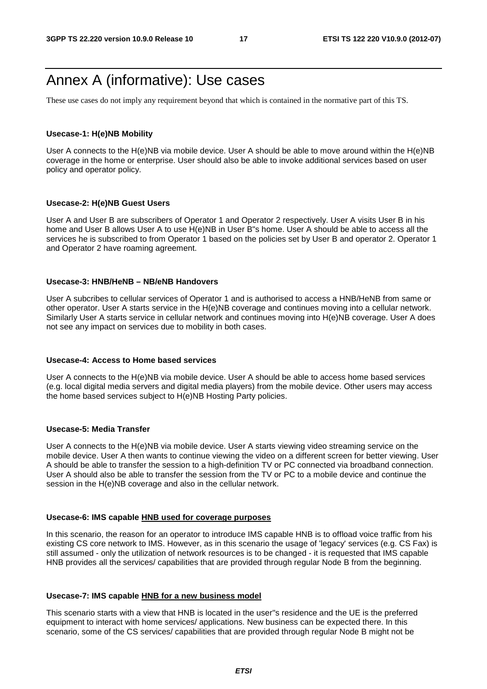### Annex A (informative): Use cases

These use cases do not imply any requirement beyond that which is contained in the normative part of this TS.

#### **Usecase-1: H(e)NB Mobility**

User A connects to the H(e)NB via mobile device. User A should be able to move around within the H(e)NB coverage in the home or enterprise. User should also be able to invoke additional services based on user policy and operator policy.

#### **Usecase-2: H(e)NB Guest Users**

User A and User B are subscribers of Operator 1 and Operator 2 respectively. User A visits User B in his home and User B allows User A to use H(e)NB in User B"s home. User A should be able to access all the services he is subscribed to from Operator 1 based on the policies set by User B and operator 2. Operator 1 and Operator 2 have roaming agreement.

#### **Usecase-3: HNB/HeNB – NB/eNB Handovers**

User A subcribes to cellular services of Operator 1 and is authorised to access a HNB/HeNB from same or other operator. User A starts service in the H(e)NB coverage and continues moving into a cellular network. Similarly User A starts service in cellular network and continues moving into H(e)NB coverage. User A does not see any impact on services due to mobility in both cases.

#### **Usecase-4: Access to Home based services**

User A connects to the H(e)NB via mobile device. User A should be able to access home based services (e.g. local digital media servers and digital media players) from the mobile device. Other users may access the home based services subject to H(e)NB Hosting Party policies.

#### **Usecase-5: Media Transfer**

User A connects to the H(e)NB via mobile device. User A starts viewing video streaming service on the mobile device. User A then wants to continue viewing the video on a different screen for better viewing. User A should be able to transfer the session to a high-definition TV or PC connected via broadband connection. User A should also be able to transfer the session from the TV or PC to a mobile device and continue the session in the H(e)NB coverage and also in the cellular network.

#### **Usecase-6: IMS capable HNB used for coverage purposes**

In this scenario, the reason for an operator to introduce IMS capable HNB is to offload voice traffic from his existing CS core network to IMS. However, as in this scenario the usage of 'legacy' services (e.g. CS Fax) is still assumed - only the utilization of network resources is to be changed - it is requested that IMS capable HNB provides all the services/ capabilities that are provided through regular Node B from the beginning.

#### **Usecase-7: IMS capable HNB for a new business model**

This scenario starts with a view that HNB is located in the user"s residence and the UE is the preferred equipment to interact with home services/ applications. New business can be expected there. In this scenario, some of the CS services/ capabilities that are provided through regular Node B might not be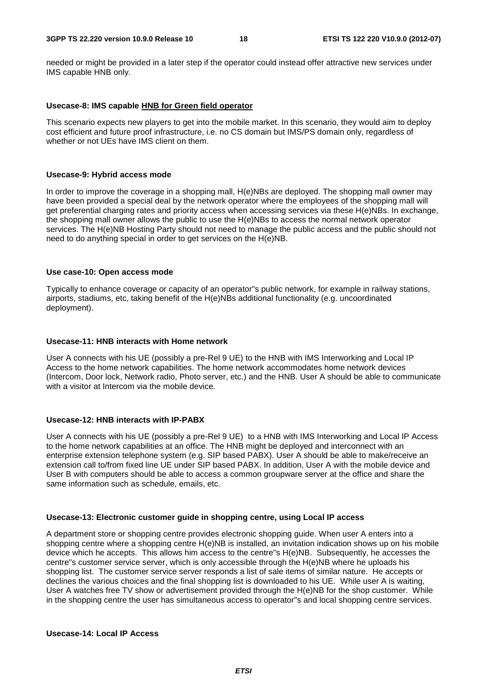needed or might be provided in a later step if the operator could instead offer attractive new services under IMS capable HNB only.

#### **Usecase-8: IMS capable HNB for Green field operator**

This scenario expects new players to get into the mobile market. In this scenario, they would aim to deploy cost efficient and future proof infrastructure, i.e. no CS domain but IMS/PS domain only, regardless of whether or not UEs have IMS client on them.

#### **Usecase-9: Hybrid access mode**

In order to improve the coverage in a shopping mall, H(e)NBs are deployed. The shopping mall owner may have been provided a special deal by the network operator where the employees of the shopping mall will get preferential charging rates and priority access when accessing services via these H(e)NBs. In exchange, the shopping mall owner allows the public to use the H(e)NBs to access the normal network operator services. The H(e)NB Hosting Party should not need to manage the public access and the public should not need to do anything special in order to get services on the H(e)NB.

#### **Use case-10: Open access mode**

Typically to enhance coverage or capacity of an operator"s public network, for example in railway stations, airports, stadiums, etc, taking benefit of the H(e)NBs additional functionality (e.g. uncoordinated deployment).

#### **Usecase-11: HNB interacts with Home network**

User A connects with his UE (possibly a pre-Rel 9 UE) to the HNB with IMS Interworking and Local IP Access to the home network capabilities. The home network accommodates home network devices (Intercom, Door lock, Network radio, Photo server, etc.) and the HNB. User A should be able to communicate with a visitor at Intercom via the mobile device.

#### **Usecase-12: HNB interacts with IP-PABX**

User A connects with his UE (possibly a pre-Rel 9 UE) to a HNB with IMS Interworking and Local IP Access to the home network capabilities at an office. The HNB might be deployed and interconnect with an enterprise extension telephone system (e.g. SIP based PABX). User A should be able to make/receive an extension call to/from fixed line UE under SIP based PABX. In addition, User A with the mobile device and User B with computers should be able to access a common groupware server at the office and share the same information such as schedule, emails, etc.

#### **Usecase-13: Electronic customer guide in shopping centre, using Local IP access**

A department store or shopping centre provides electronic shopping guide. When user A enters into a shopping centre where a shopping centre H(e)NB is installed, an invitation indication shows up on his mobile device which he accepts. This allows him access to the centre"s H(e)NB. Subsequently, he accesses the centre"s customer service server, which is only accessible through the H(e)NB where he uploads his shopping list. The customer service server responds a list of sale items of similar nature. He accepts or declines the various choices and the final shopping list is downloaded to his UE. While user A is waiting, User A watches free TV show or advertisement provided through the H(e)NB for the shop customer. While in the shopping centre the user has simultaneous access to operator"s and local shopping centre services.

#### **Usecase-14: Local IP Access**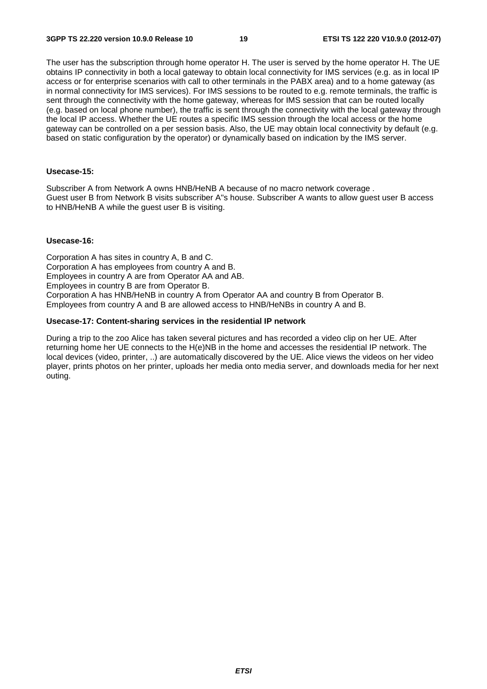The user has the subscription through home operator H. The user is served by the home operator H. The UE obtains IP connectivity in both a local gateway to obtain local connectivity for IMS services (e.g. as in local IP access or for enterprise scenarios with call to other terminals in the PABX area) and to a home gateway (as in normal connectivity for IMS services). For IMS sessions to be routed to e.g. remote terminals, the traffic is sent through the connectivity with the home gateway, whereas for IMS session that can be routed locally (e.g. based on local phone number), the traffic is sent through the connectivity with the local gateway through the local IP access. Whether the UE routes a specific IMS session through the local access or the home gateway can be controlled on a per session basis. Also, the UE may obtain local connectivity by default (e.g. based on static configuration by the operator) or dynamically based on indication by the IMS server.

#### **Usecase-15:**

Subscriber A from Network A owns HNB/HeNB A because of no macro network coverage . Guest user B from Network B visits subscriber A"s house. Subscriber A wants to allow guest user B access to HNB/HeNB A while the guest user B is visiting.

#### **Usecase-16:**

Corporation A has sites in country A, B and C. Corporation A has employees from country A and B. Employees in country A are from Operator AA and AB. Employees in country B are from Operator B. Corporation A has HNB/HeNB in country A from Operator AA and country B from Operator B. Employees from country A and B are allowed access to HNB/HeNBs in country A and B.

#### **Usecase-17: Content-sharing services in the residential IP network**

During a trip to the zoo Alice has taken several pictures and has recorded a video clip on her UE. After returning home her UE connects to the H(e)NB in the home and accesses the residential IP network. The local devices (video, printer, ..) are automatically discovered by the UE. Alice views the videos on her video player, prints photos on her printer, uploads her media onto media server, and downloads media for her next outing.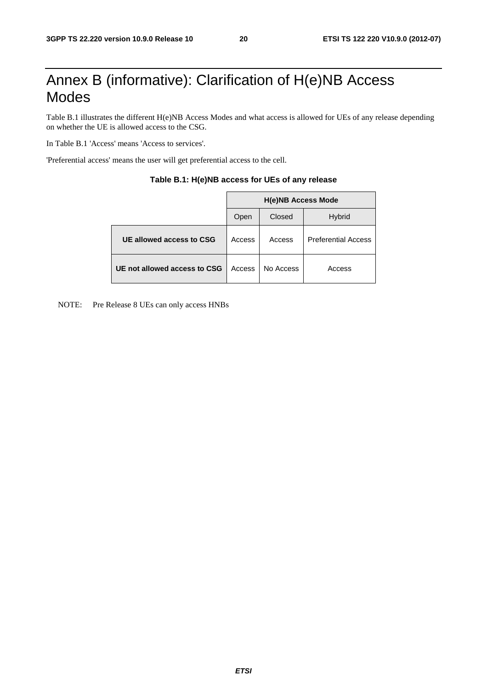# Annex B (informative): Clarification of H(e)NB Access Modes

Table B.1 illustrates the different H(e)NB Access Modes and what access is allowed for UEs of any release depending on whether the UE is allowed access to the CSG.

In Table B.1 'Access' means 'Access to services'.

'Preferential access' means the user will get preferential access to the cell.

|                              | <b>H(e)NB Access Mode</b> |           |                            |  |  |  |
|------------------------------|---------------------------|-----------|----------------------------|--|--|--|
|                              | Open                      | Closed    | <b>Hybrid</b>              |  |  |  |
| UE allowed access to CSG     | Access                    | Access    | <b>Preferential Access</b> |  |  |  |
| UE not allowed access to CSG | Access                    | No Access | Access                     |  |  |  |

#### **Table B.1: H(e)NB access for UEs of any release**

NOTE: Pre Release 8 UEs can only access HNBs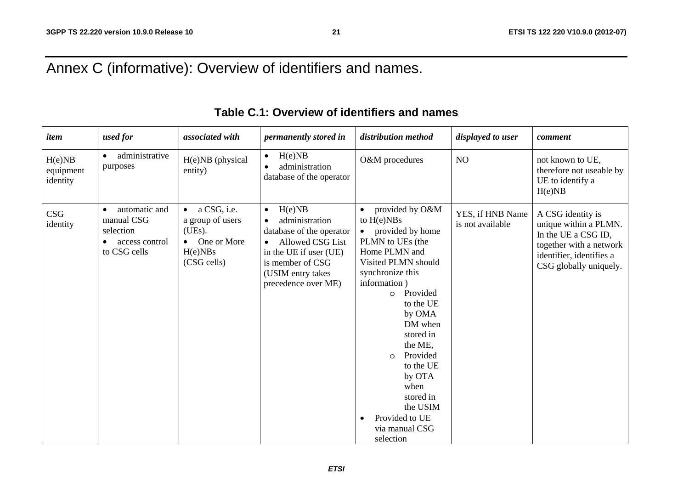# Annex C (informative): Overview of identifiers and names.

| item                            | used for                                                                                | associated with                                                                                              | permanently stored in                                                                                                                                                             | distribution method                                                                                                                                                                                                                                                                                                                                                   | displayed to user                    | comment                                                                                                                                            |  |
|---------------------------------|-----------------------------------------------------------------------------------------|--------------------------------------------------------------------------------------------------------------|-----------------------------------------------------------------------------------------------------------------------------------------------------------------------------------|-----------------------------------------------------------------------------------------------------------------------------------------------------------------------------------------------------------------------------------------------------------------------------------------------------------------------------------------------------------------------|--------------------------------------|----------------------------------------------------------------------------------------------------------------------------------------------------|--|
| H(e)NB<br>equipment<br>identity | administrative<br>$\bullet$<br>purposes                                                 | H(e)NB (physical<br>entity)                                                                                  | H(e)NB<br>$\bullet$<br>administration<br>$\bullet$<br>database of the operator                                                                                                    | O&M procedures                                                                                                                                                                                                                                                                                                                                                        | NO                                   | not known to UE,<br>therefore not useable by<br>UE to identify a<br>H(e)NB                                                                         |  |
| <b>CSG</b><br>identity          | automatic and<br>manual CSG<br>selection<br>access control<br>$\bullet$<br>to CSG cells | a CSG, i.e.<br>$\bullet$<br>a group of users<br>(UEs).<br>One or More<br>$\bullet$<br>H(e)NBs<br>(CSG cells) | H(e)NB<br>$\bullet$<br>administration<br>database of the operator<br>• Allowed CSG List<br>in the UE if user (UE)<br>is member of CSG<br>(USIM entry takes<br>precedence over ME) | provided by O&M<br>to $H(e)NBs$<br>provided by home<br>PLMN to UEs (the<br>Home PLMN and<br>Visited PLMN should<br>synchronize this<br>information)<br>Provided<br>$\circ$<br>to the UE<br>by OMA<br>DM when<br>stored in<br>the ME,<br>Provided<br>$\Omega$<br>to the UE<br>by OTA<br>when<br>stored in<br>the USIM<br>Provided to UE<br>via manual CSG<br>selection | YES, if HNB Name<br>is not available | A CSG identity is<br>unique within a PLMN.<br>In the UE a CSG ID,<br>together with a network<br>identifier, identifies a<br>CSG globally uniquely. |  |

### **Table C.1: Overview of identifiers and names**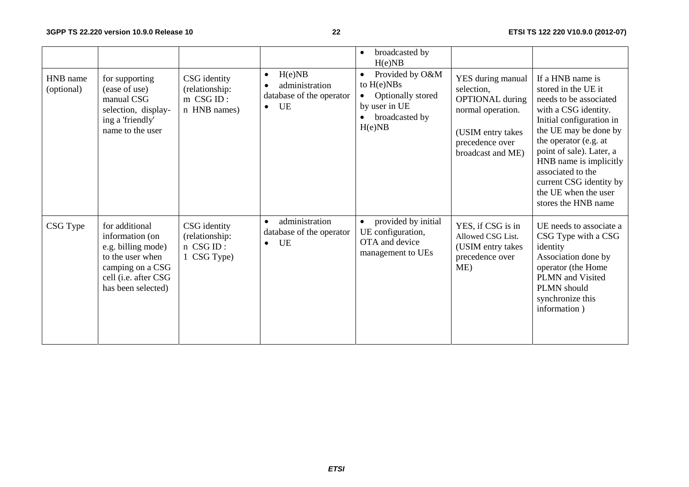|                        |                                                                                                                                               |                                                             |                                                                                      | broadcasted by<br>$\bullet$<br>H(e)NB                                                                                       |                                                                                                                                             |                                                                                                                                                                                                                                                                                                                              |
|------------------------|-----------------------------------------------------------------------------------------------------------------------------------------------|-------------------------------------------------------------|--------------------------------------------------------------------------------------|-----------------------------------------------------------------------------------------------------------------------------|---------------------------------------------------------------------------------------------------------------------------------------------|------------------------------------------------------------------------------------------------------------------------------------------------------------------------------------------------------------------------------------------------------------------------------------------------------------------------------|
| HNB name<br>(optional) | for supporting<br>(ease of use)<br>manual CSG<br>selection, display-<br>ing a 'friendly'<br>name to the user                                  | CSG identity<br>(relationship:<br>m CSG ID:<br>n HNB names) | H(e)NB<br>$\bullet$<br>administration<br>database of the operator<br>UE<br>$\bullet$ | Provided by O&M<br>$\bullet$<br>to $H(e)NBs$<br>Optionally stored<br>$\bullet$<br>by user in UE<br>broadcasted by<br>H(e)NB | YES during manual<br>selection,<br><b>OPTIONAL</b> during<br>normal operation.<br>(USIM entry takes<br>precedence over<br>broadcast and ME) | If a HNB name is<br>stored in the UE it<br>needs to be associated<br>with a CSG identity.<br>Initial configuration in<br>the UE may be done by<br>the operator (e.g. at<br>point of sale). Later, a<br>HNB name is implicitly<br>associated to the<br>current CSG identity by<br>the UE when the user<br>stores the HNB name |
| CSG Type               | for additional<br>information (on<br>e.g. billing mode)<br>to the user when<br>camping on a CSG<br>cell (i.e. after CSG<br>has been selected) | CSG identity<br>(relationship:<br>n CSG ID:<br>1 CSG Type)  | administration<br>$\bullet$<br>database of the operator<br>UE<br>$\bullet$           | provided by initial<br>$\bullet$<br>UE configuration,<br>OTA and device<br>management to UEs                                | YES, if CSG is in<br>Allowed CSG List.<br>(USIM entry takes<br>precedence over<br>ME)                                                       | UE needs to associate a<br>CSG Type with a CSG<br>identity<br>Association done by<br>operator (the Home<br><b>PLMN</b> and Visited<br>PLMN should<br>synchronize this<br>information)                                                                                                                                        |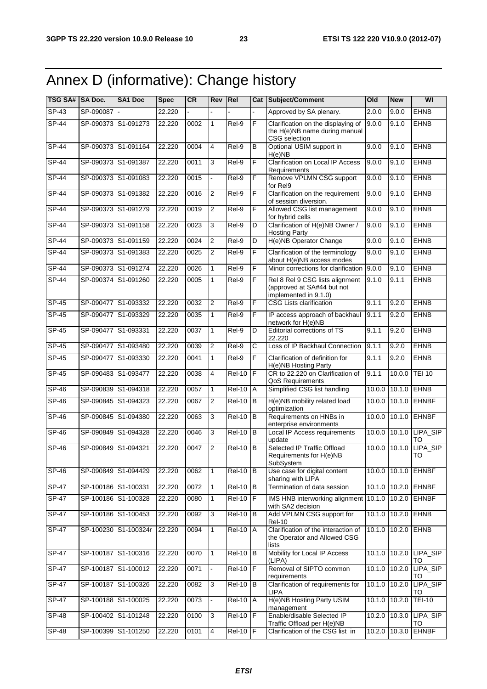# Annex D (informative): Change history

| TSG SA# SA Doc. |           | SA1 Doc              | <b>Spec</b> | <b>CR</b> | Rev            | Rel                 |                | <b>Cat Subject/Comment</b>                                                             | Old    | <b>New</b>        | WI                           |
|-----------------|-----------|----------------------|-------------|-----------|----------------|---------------------|----------------|----------------------------------------------------------------------------------------|--------|-------------------|------------------------------|
| $SP-43$         | SP-090087 |                      | 22.220      |           |                |                     |                | Approved by SA plenary.                                                                | 2.0.0  | 9.0.0             | <b>EHNB</b>                  |
| $SP-44$         |           | SP-090373 S1-091273  | 22.220      | 0002      | $\mathbf{1}$   | Rel-9               | F              | Clarification on the displaying of<br>the H(e)NB name during manual<br>CSG selection   | 9.0.0  | 9.1.0             | <b>EHNB</b>                  |
| $SP-44$         |           | SP-090373 S1-091164  | 22.220      | 0004      | $\overline{4}$ | Rel-9               | B              | Optional USIM support in<br>H(e)NB                                                     | 9.0.0  | 9.1.0             | <b>EHNB</b>                  |
| <b>SP-44</b>    |           | SP-090373 S1-091387  | 22.220      | 0011      | 3              | Rel-9               | F              | <b>Clarification on Local IP Access</b><br>Requirements                                | 9.0.0  | 9.1.0             | <b>EHNB</b>                  |
| $SP-44$         |           | SP-090373 S1-091083  | 22.220      | 0015      |                | $ReI-9$             | F              | Remove VPLMN CSG support<br>for Rel9                                                   | 9.0.0  | 9.1.0             | <b>EHNB</b>                  |
| $SP-44$         |           | SP-090373 S1-091382  | 22.220      | 0016      | 2              | Rel-9               | F              | Clarification on the requirement<br>of session diversion.                              | 9.0.0  | 9.1.0             | <b>EHNB</b>                  |
| $SP-44$         |           | SP-090373 S1-091279  | 22.220      | 0019      | $\overline{2}$ | $Rel-9$             | F              | Allowed CSG list management<br>for hybrid cells                                        | 9.0.0  | 9.1.0             | <b>EHNB</b>                  |
| $SP-44$         |           | SP-090373 S1-091158  | 22.220      | 0023      | 3              | $ReI-9$             | D              | Clarification of H(e)NB Owner /<br><b>Hosting Party</b>                                | 9.0.0  | 9.1.0             | <b>EHNB</b>                  |
| $SP-44$         |           | SP-090373 S1-091159  | 22.220      | 0024      | $\overline{2}$ | $Rel-9$             | D              | H(e)NB Operator Change                                                                 | 9.0.0  | 9.1.0             | <b>EHNB</b>                  |
| <b>SP-44</b>    |           | SP-090373 S1-091383  | 22.220      | 0025      | 2              | Rel-9               | F              | Clarification of the terminology<br>about H(e)NB access modes                          | 9.0.0  | 9.1.0             | <b>EHNB</b>                  |
| <b>SP-44</b>    |           | SP-090373 S1-091274  | 22.220      | 0026      | $\mathbf{1}$   | $Rel-9$             | F              | Minor corrections for clarification                                                    | 9.0.0  | 9.1.0             | <b>EHNB</b>                  |
| $SP-44$         |           | SP-090374 S1-091260  | 22.220      | 0005      | 1              | Rel-9               | F              | Rel 8 Rel 9 CSG lists alignment<br>(approved at SA#44 but not<br>implemented in 9.1.0) | 9.1.0  | 9.1.1             | <b>EHNB</b>                  |
| SP-45           | SP-090477 | S1-093332            | 22.220      | 0032      | 2              | Rel-9               | F              | <b>CSG Lists clarification</b>                                                         | 9.1.1  | 9.2.0             | <b>EHNB</b>                  |
| $SP-45$         |           | SP-090477 S1-093329  | 22.220      | 0035      | 1              | Rel-9               | F              | IP access approach of backhaul<br>network for H(e)NB                                   | 9.1.1  | 9.2.0             | <b>EHNB</b>                  |
| SP-45           |           | SP-090477 S1-093331  | 22.220      | 0037      | 1              | Rel-9               | D              | Editorial corrections of TS<br>22.220                                                  | 9.1.1  | 9.2.0             | <b>EHNB</b>                  |
| $SP-45$         |           | SP-090477 S1-093480  | 22.220      | 0039      | 2              | $ReI-9$             | С              | Loss of IP Backhaul Connection                                                         | 9.1.1  | 9.2.0             | <b>EHNB</b>                  |
| <b>SP-45</b>    |           | SP-090477 S1-093330  | 22.220      | 0041      | $\mathbf{1}$   | Rel-9               | $\overline{F}$ | Clarification of definition for<br>H(e)NB Hosting Party                                | 9.1.1  | 9.2.0             | <b>EHNB</b>                  |
| $SP-45$         |           | SP-090483 S1-093477  | 22.220      | 0038      | $\overline{4}$ | $Rel-10$            | F              | CR to 22.220 on Clarification of<br>QoS Requirements                                   | 9.1.1  | 10.0.0            | <b>TEI 10</b>                |
| SP-46           |           | SP-090839 S1-094318  | 22.220      | 0057      | $\mathbf{1}$   | <b>Rel-10</b>       | Α              | Simplified CSG list handling                                                           | 10.0.0 | 10.1.0            | EHNB                         |
| SP-46           |           | SP-090845 S1-094323  | 22.220      | 0067      | $\overline{2}$ | <b>Rel-10</b>       | B              | H(e)NB mobility related load<br>optimization                                           | 10.0.0 | 10.1.0            | <b>EHNBF</b>                 |
| SP-46           |           | SP-090845 S1-094380  | 22.220      | 0063      | 3              | <b>Rel-10</b>       | $\sf B$        | Requirements on HNBs in<br>enterprise environments                                     | 10.0.0 | 10.1.0            | <b>EHNBF</b>                 |
| SP-46           |           | SP-090849 S1-094328  | 22.220      | 0046      | 3              | <b>Rel-10</b>       | B              | Local IP Access requirements<br>update                                                 | 10.0.0 |                   | 10.1.0 LIPA_SIP<br><b>TO</b> |
| $SP-46$         |           | SP-090849 S1-094321  | 22.220      | 0047      | $\overline{2}$ | $Rel-10$            | <b>IB</b>      | Selected IP Traffic Offload<br>Requirements for H(e)NB<br>SubSystem                    | 10.0.0 | 10.1.0            | LIPA_SIP<br>TO               |
| SP-46           |           | SP-090849 S1-094429  | 22.220      | 0062      | 1              | $Rel-10$ B          |                | Use case for digital content<br>sharing with LIPA                                      |        |                   | 10.0.0 10.1.0 EHNBF          |
| <b>SP-47</b>    |           | SP-100186 S1-100331  | 22.220      | 0072      | 1              | <b>Rel-10</b>       | B              | Termination of data session                                                            |        |                   | 10.1.0 10.2.0 EHNBF          |
| $SP-47$         |           | SP-100186 S1-100328  | 22.220      | 0080      | 1              | $Rel-10$            |                | IMS HNB interworking alignment<br>with SA2 decision                                    | 10.1.0 | 10.2.0            | <b>EHNBF</b>                 |
| $SP-47$         |           | SP-100186 S1-100453  | 22.220      | 0092      | 3              | $Rel-10$ B          |                | Add VPLMN CSG support for<br><b>Rel-10</b>                                             |        | $10.1.0$ $10.2.0$ | <b>EHNB</b>                  |
| $SP-47$         |           | SP-100230 S1-100324r | 22.220      | 0094      | $\mathbf{1}$   | Rel-10 A            |                | Clarification of the interaction of<br>the Operator and Allowed CSG<br>lists           |        | 10.1.0 10.2.0     | EHNB                         |
| <b>SP-47</b>    |           | SP-100187 S1-100316  | 22.220      | 0070      | $\mathbf{1}$   | $ReI-10$ B          |                | Mobility for Local IP Access<br>(LIPA)                                                 |        |                   | 10.1.0 10.2.0 LIPA_SIP<br>TO |
| <b>SP-47</b>    |           | SP-100187 S1-100012  | 22.220      | 0071      |                | <b>Rel-10</b>       | $\overline{F}$ | Removal of SIPTO common<br>requirements                                                | 10.1.0 | 10.2.0            | LIPA_SIP<br>TO               |
| SP-47           |           | SP-100187 S1-100326  | 22.220      | 0082      | 3              | $\overline{Rel.10}$ | B              | Clarification of requirements for<br>LIPA                                              |        | $10.1.0$ $10.2.0$ | LIPA_SIP<br>то               |
| <b>SP-47</b>    |           | SP-100188 S1-100025  | 22.220      | 0073      | $\overline{a}$ | <b>Rel-10 A</b>     |                | H(e)NB Hosting Party USIM<br>management                                                |        | 10.1.0 10.2.0     | <b>TEI-10</b>                |
| $SP-48$         |           | SP-100402 S1-101248  | 22.220      | 0100      | 3              | $Rel-10$ $F$        |                | Enable/disable Selected IP<br>Traffic Offload per H(e)NB                               |        | 10.2.0 10.3.0     | LIPA_SIP<br>TO               |
| $SP-48$         | SP-100399 | S1-101250            | 22.220      | 0101      | $\overline{4}$ | $Rel-10$            | F              | Clarification of the CSG list in                                                       |        | 10.2.0 10.3.0     | <b>EHNBF</b>                 |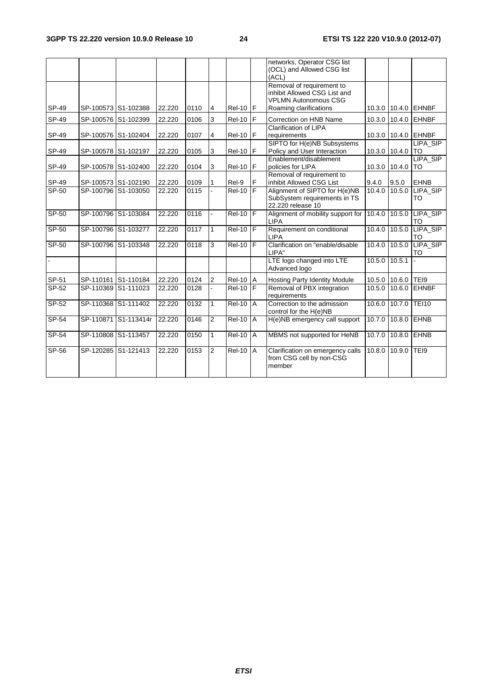|         |                     |                      |        |      |                |                   |   | networks, Operator CSG list<br>(OCL) and Allowed CSG list<br>(ACL)                       |               |                    |                        |
|---------|---------------------|----------------------|--------|------|----------------|-------------------|---|------------------------------------------------------------------------------------------|---------------|--------------------|------------------------|
|         |                     |                      |        |      |                |                   |   | Removal of requirement to<br>inhibit Allowed CSG List and<br><b>VPLMN Autonomous CSG</b> |               |                    |                        |
| SP-49   | SP-100573 S1-102388 |                      | 22.220 | 0110 | $\overline{4}$ | $Rel-10$ $F$      |   | Roaming clarifications                                                                   |               |                    | 10.3.0 10.4.0 EHNBF    |
| SP-49   | SP-100576 S1-102399 |                      | 22.220 | 0106 | 3              | $Rel-10$ $F$      |   | Correction on HNB Name                                                                   |               |                    | 10.3.0 10.4.0 EHNBF    |
| SP-49   | SP-100576 S1-102404 |                      | 22.220 | 0107 | 4              | Rel-10   F        |   | Clarification of LIPA<br>requirements                                                    |               |                    | 10.3.0 10.4.0 EHNBF    |
| SP-49   | SP-100578 S1-102197 |                      | 22.220 | 0105 | 3              | $Rel-10$ $F$      |   | SIPTO for H(e)NB Subsystems<br>Policy and User Interaction                               | 10.3.0 10.4.0 |                    | LIPA_SIP<br><b>ITO</b> |
| SP-49   | SP-100578 S1-102400 |                      | 22.220 | 0104 | 3              | $Rel-10$ $F$      |   | Enablement/disablement<br>policies for LIPA                                              | 10.3.0 10.4.0 |                    | LIPA_SIP<br><b>ITO</b> |
| SP-49   | SP-100573 S1-102190 |                      | 22.220 | 0109 |                | Rel-9             | F | Removal of requirement to<br>inhibit Allowed CSG List                                    | 9.4.0         | 9.5.0              | <b>EHNB</b>            |
| SP-50   | SP-100796 S1-103050 |                      | 22.220 | 0115 |                | $Rel-10$ $F$      |   | Alignment of SIPTO for H(e)NB<br>SubSystem requirements in TS<br>22,220 release 10       | 10.4.0        | 10.5.0             | LIPA_SIP<br><b>TO</b>  |
| SP-50   | SP-100796 S1-103084 |                      | 22.220 | 0116 |                | $ReI-10$ F        |   | Alignment of mobility support for<br><b>LIPA</b>                                         | 10.4.0        |                    | 10.5.0 LIPA_SIP<br>TO  |
| $SP-50$ | SP-100796 S1-103277 |                      | 22.220 | 0117 | $\mathbf{1}$   | $Rel-10$ F        |   | Requirement on conditional<br><b>LIPA</b>                                                | 10.4.0        | 10.5.0             | LIPA_SIP<br>TO         |
| SP-50   | SP-100796 S1-103348 |                      | 22.220 | 0118 | 3              | $Rel-10$          |   | Clarification on "enable/disable<br>LIPA"                                                | 10.4.0        | 10.5.0             | LIPA_SIP<br>TO         |
|         |                     |                      |        |      |                |                   |   | LTE logo changed into LTE<br>Advanced logo                                               | 10.5.0        | 10.5.1             |                        |
| SP-51   | SP-110161 S1-110184 |                      | 22.220 | 0124 | $\overline{2}$ | <b>Rel-10   A</b> |   | <b>Hosting Party Identity Module</b>                                                     |               | 10.5.0 10.6.0 TEI9 |                        |
| SP-52   | SP-110369 S1-111023 |                      | 22.220 | 0128 |                | $Rel-10$          |   | Removal of PBX integration<br>requirements                                               | 10.5.0        | 10.6.0             | <b>EHNBF</b>           |
| $SP-52$ | SP-110368 S1-111402 |                      | 22.220 | 0132 | 1              | $Rel-10$ $A$      |   | Correction to the admission<br>control for the H(e)NB                                    | 10.6.0        | 10.7.0             | <b>TEI10</b>           |
| $SP-54$ |                     | SP-110871 S1-113414r | 22.220 | 0146 | $\overline{2}$ | $ReI-10$ $A$      |   | H(e)NB emergency call support                                                            | 10.7.0        | 10.8.0             | <b>EHNB</b>            |
| $SP-54$ | SP-110808 S1-113457 |                      | 22.220 | 0150 | $\mathbf{1}$   | $ReI-10$ $A$      |   | MBMS not supported for HeNB                                                              | 10.7.0        | 10.8.0             | <b>EHNB</b>            |
| SP-56   | SP-120285 S1-121413 |                      | 22.220 | 0153 | $\overline{2}$ | $ReI-10$ $A$      |   | Clarification on emergency calls<br>from CSG cell by non-CSG<br>member                   | 10.8.0        | 10.9.0             | TEI9                   |